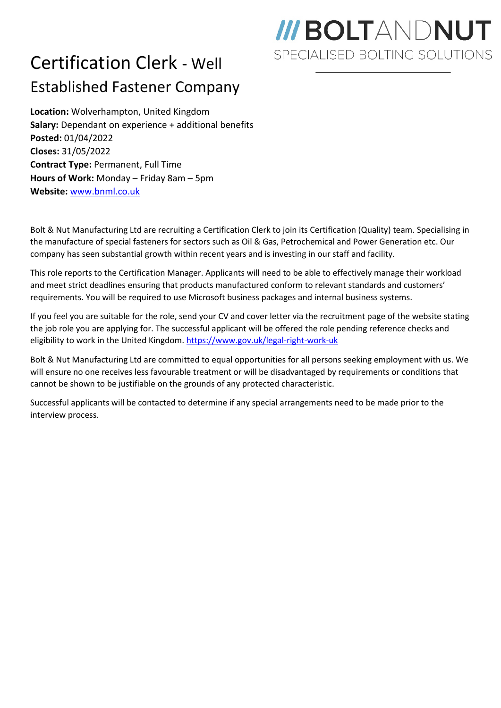## Certification Clerk - Well Established Fastener Company

## **III BOLTANDNUT** SPECIALISED BOLTING SOLUTIONS

**Location:** Wolverhampton, United Kingdom **Salary:** Dependant on experience + additional benefits **Posted:** 01/04/2022 **Closes:** 31/05/2022 **Contract Type:** Permanent, Full Time **Hours of Work:** Monday – Friday 8am – 5pm **Website:** [www.bnml.co.uk](http://www.bnml.co.uk/)

Bolt & Nut Manufacturing Ltd are recruiting a Certification Clerk to join its Certification (Quality) team. Specialising in the manufacture of special fasteners for sectors such as Oil & Gas, Petrochemical and Power Generation etc. Our company has seen substantial growth within recent years and is investing in our staff and facility.

This role reports to the Certification Manager. Applicants will need to be able to effectively manage their workload and meet strict deadlines ensuring that products manufactured conform to relevant standards and customers' requirements. You will be required to use Microsoft business packages and internal business systems.

If you feel you are suitable for the role, send your CV and cover letter via the recruitment page of the website stating the job role you are applying for. The successful applicant will be offered the role pending reference checks and eligibility to work in the United Kingdom[. https://www.gov.uk/legal-right-work-uk](https://www.gov.uk/legal-right-work-uk)

Bolt & Nut Manufacturing Ltd are committed to equal opportunities for all persons seeking employment with us. We will ensure no one receives less favourable treatment or will be disadvantaged by requirements or conditions that cannot be shown to be justifiable on the grounds of any protected characteristic.

Successful applicants will be contacted to determine if any special arrangements need to be made prior to the interview process.